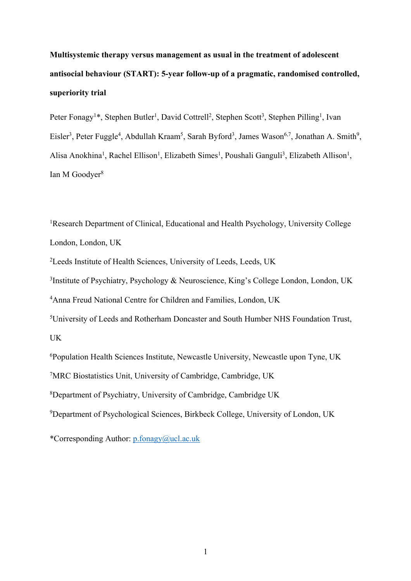**Multisystemic therapy versus management as usual in the treatment of adolescent antisocial behaviour (START): 5-year follow-up of a pragmatic, randomised controlled, superiority trial**

Peter Fonagy<sup>1\*</sup>, Stephen Butler<sup>1</sup>, David Cottrell<sup>2</sup>, Stephen Scott<sup>3</sup>, Stephen Pilling<sup>1</sup>, Ivan Eisler<sup>3</sup>, Peter Fuggle<sup>4</sup>, Abdullah Kraam<sup>5</sup>, Sarah Byford<sup>3</sup>, James Wason<sup>6,7</sup>, Jonathan A. Smith<sup>9</sup>, Alisa Anokhina<sup>1</sup>, Rachel Ellison<sup>1</sup>, Elizabeth Simes<sup>1</sup>, Poushali Ganguli<sup>3</sup>, Elizabeth Allison<sup>1</sup>, Ian M Goodver<sup>8</sup>

<sup>1</sup>Research Department of Clinical, Educational and Health Psychology, University College London, London, UK

2 Leeds Institute of Health Sciences, University of Leeds, Leeds, UK

<sup>3</sup>Institute of Psychiatry, Psychology & Neuroscience, King's College London, London, UK

4 Anna Freud National Centre for Children and Families, London, UK

5 University of Leeds and Rotherham Doncaster and South Humber NHS Foundation Trust, UK

6 Population Health Sciences Institute, Newcastle University, Newcastle upon Tyne, UK

7 MRC Biostatistics Unit, University of Cambridge, Cambridge, UK

8 Department of Psychiatry, University of Cambridge, Cambridge UK

9 Department of Psychological Sciences, Birkbeck College, University of London, UK

\*Corresponding Author: p.fonagy@ucl.ac.uk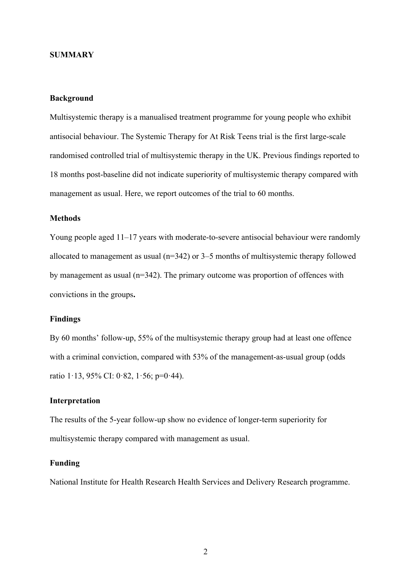### **SUMMARY**

# **Background**

Multisystemic therapy is a manualised treatment programme for young people who exhibit antisocial behaviour. The Systemic Therapy for At Risk Teens trial is the first large-scale randomised controlled trial of multisystemic therapy in the UK. Previous findings reported to 18 months post-baseline did not indicate superiority of multisystemic therapy compared with management as usual. Here, we report outcomes of the trial to 60 months.

# **Methods**

Young people aged 11–17 years with moderate-to-severe antisocial behaviour were randomly allocated to management as usual ( $n=342$ ) or 3–5 months of multisystemic therapy followed by management as usual (n=342). The primary outcome was proportion of offences with convictions in the groups**.**

#### **Findings**

By 60 months' follow-up, 55% of the multisystemic therapy group had at least one offence with a criminal conviction, compared with 53% of the management-as-usual group (odds ratio 1·13, 95% CI: 0·82, 1·56; p=0·44).

## **Interpretation**

The results of the 5-year follow-up show no evidence of longer-term superiority for multisystemic therapy compared with management as usual.

## **Funding**

National Institute for Health Research Health Services and Delivery Research programme.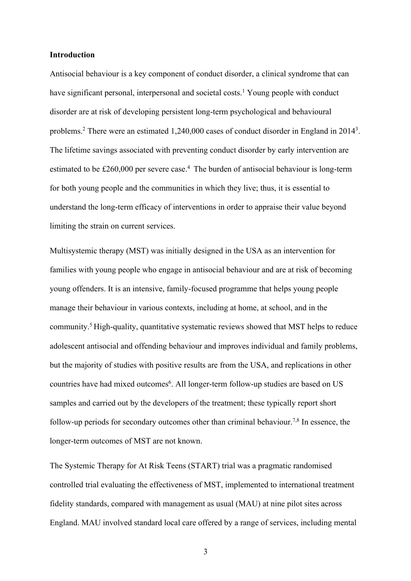## **Introduction**

Antisocial behaviour is a key component of conduct disorder, a clinical syndrome that can have significant personal, interpersonal and societal costs.<sup>1</sup> Young people with conduct disorder are at risk of developing persistent long-term psychological and behavioural problems.<sup>2</sup> There were an estimated 1,240,000 cases of conduct disorder in England in 2014<sup>3</sup>. The lifetime savings associated with preventing conduct disorder by early intervention are estimated to be £260,000 per severe case.<sup>4</sup> The burden of antisocial behaviour is long-term for both young people and the communities in which they live; thus, it is essential to understand the long-term efficacy of interventions in order to appraise their value beyond limiting the strain on current services.

Multisystemic therapy (MST) was initially designed in the USA as an intervention for families with young people who engage in antisocial behaviour and are at risk of becoming young offenders. It is an intensive, family-focused programme that helps young people manage their behaviour in various contexts, including at home, at school, and in the community.5 High-quality, quantitative systematic reviews showed that MST helps to reduce adolescent antisocial and offending behaviour and improves individual and family problems, but the majority of studies with positive results are from the USA, and replications in other countries have had mixed outcomes<sup>6</sup>. All longer-term follow-up studies are based on US samples and carried out by the developers of the treatment; these typically report short follow-up periods for secondary outcomes other than criminal behaviour.<sup>7,8</sup> In essence, the longer-term outcomes of MST are not known.

The Systemic Therapy for At Risk Teens (START) trial was a pragmatic randomised controlled trial evaluating the effectiveness of MST, implemented to international treatment fidelity standards, compared with management as usual (MAU) at nine pilot sites across England. MAU involved standard local care offered by a range of services, including mental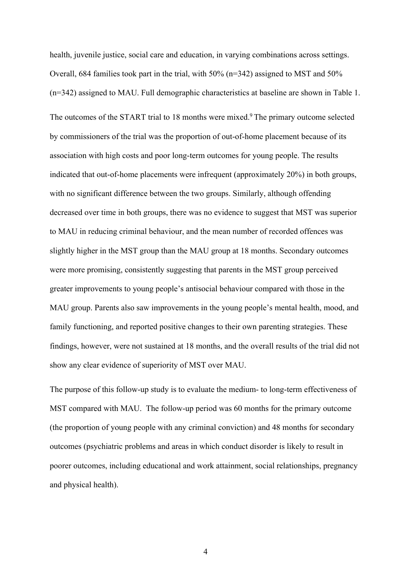health, juvenile justice, social care and education, in varying combinations across settings. Overall, 684 families took part in the trial, with 50% (n=342) assigned to MST and 50% (n=342) assigned to MAU. Full demographic characteristics at baseline are shown in Table 1.

The outcomes of the START trial to 18 months were mixed.<sup>9</sup> The primary outcome selected by commissioners of the trial was the proportion of out-of-home placement because of its association with high costs and poor long-term outcomes for young people. The results indicated that out-of-home placements were infrequent (approximately 20%) in both groups, with no significant difference between the two groups. Similarly, although offending decreased over time in both groups, there was no evidence to suggest that MST was superior to MAU in reducing criminal behaviour, and the mean number of recorded offences was slightly higher in the MST group than the MAU group at 18 months. Secondary outcomes were more promising, consistently suggesting that parents in the MST group perceived greater improvements to young people's antisocial behaviour compared with those in the MAU group. Parents also saw improvements in the young people's mental health, mood, and family functioning, and reported positive changes to their own parenting strategies. These findings, however, were not sustained at 18 months, and the overall results of the trial did not show any clear evidence of superiority of MST over MAU.

The purpose of this follow-up study is to evaluate the medium- to long-term effectiveness of MST compared with MAU. The follow-up period was 60 months for the primary outcome (the proportion of young people with any criminal conviction) and 48 months for secondary outcomes (psychiatric problems and areas in which conduct disorder is likely to result in poorer outcomes, including educational and work attainment, social relationships, pregnancy and physical health).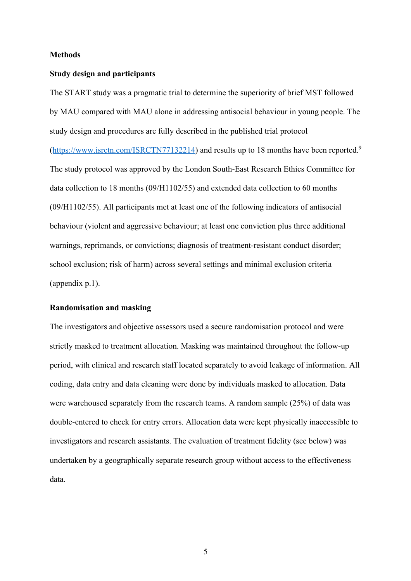## **Methods**

#### **Study design and participants**

The START study was a pragmatic trial to determine the superiority of brief MST followed by MAU compared with MAU alone in addressing antisocial behaviour in young people. The study design and procedures are fully described in the published trial protocol (https://www.isrctn.com/ISRCTN77132214) and results up to 18 months have been reported.<sup>9</sup> The study protocol was approved by the London South-East Research Ethics Committee for data collection to 18 months (09/H1102/55) and extended data collection to 60 months (09/H1102/55). All participants met at least one of the following indicators of antisocial behaviour (violent and aggressive behaviour; at least one conviction plus three additional warnings, reprimands, or convictions; diagnosis of treatment-resistant conduct disorder; school exclusion; risk of harm) across several settings and minimal exclusion criteria (appendix p.1).

### **Randomisation and masking**

The investigators and objective assessors used a secure randomisation protocol and were strictly masked to treatment allocation. Masking was maintained throughout the follow-up period, with clinical and research staff located separately to avoid leakage of information. All coding, data entry and data cleaning were done by individuals masked to allocation. Data were warehoused separately from the research teams. A random sample (25%) of data was double-entered to check for entry errors. Allocation data were kept physically inaccessible to investigators and research assistants. The evaluation of treatment fidelity (see below) was undertaken by a geographically separate research group without access to the effectiveness data.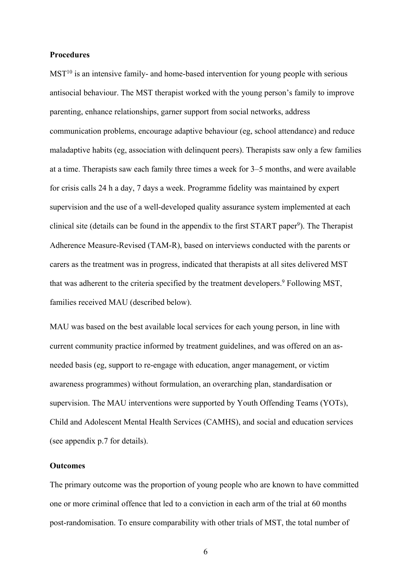### **Procedures**

 $MST<sup>10</sup>$  is an intensive family- and home-based intervention for young people with serious antisocial behaviour. The MST therapist worked with the young person's family to improve parenting, enhance relationships, garner support from social networks, address communication problems, encourage adaptive behaviour (eg, school attendance) and reduce maladaptive habits (eg, association with delinquent peers). Therapists saw only a few families at a time. Therapists saw each family three times a week for 3–5 months, and were available for crisis calls 24 h a day, 7 days a week. Programme fidelity was maintained by expert supervision and the use of a well-developed quality assurance system implemented at each clinical site (details can be found in the appendix to the first START paper<sup>9</sup>). The Therapist Adherence Measure-Revised (TAM-R), based on interviews conducted with the parents or carers as the treatment was in progress, indicated that therapists at all sites delivered MST that was adherent to the criteria specified by the treatment developers.<sup>9</sup> Following MST, families received MAU (described below).

MAU was based on the best available local services for each young person, in line with current community practice informed by treatment guidelines, and was offered on an asneeded basis (eg, support to re-engage with education, anger management, or victim awareness programmes) without formulation, an overarching plan, standardisation or supervision. The MAU interventions were supported by Youth Offending Teams (YOTs), Child and Adolescent Mental Health Services (CAMHS), and social and education services (see appendix p.7 for details).

# **Outcomes**

The primary outcome was the proportion of young people who are known to have committed one or more criminal offence that led to a conviction in each arm of the trial at 60 months post-randomisation. To ensure comparability with other trials of MST, the total number of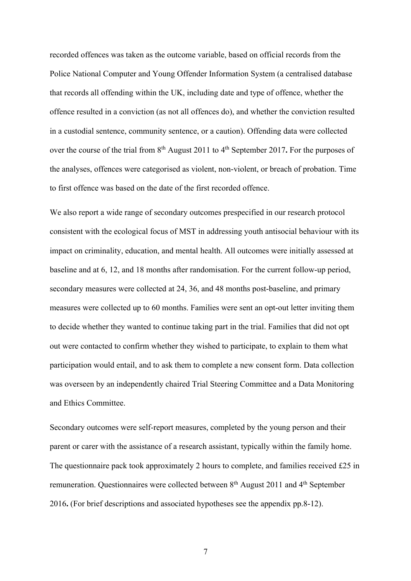recorded offences was taken as the outcome variable, based on official records from the Police National Computer and Young Offender Information System (a centralised database that records all offending within the UK, including date and type of offence, whether the offence resulted in a conviction (as not all offences do), and whether the conviction resulted in a custodial sentence, community sentence, or a caution). Offending data were collected over the course of the trial from 8<sup>th</sup> August 2011 to 4<sup>th</sup> September 2017. For the purposes of the analyses, offences were categorised as violent, non-violent, or breach of probation. Time to first offence was based on the date of the first recorded offence.

We also report a wide range of secondary outcomes prespecified in our research protocol consistent with the ecological focus of MST in addressing youth antisocial behaviour with its impact on criminality, education, and mental health. All outcomes were initially assessed at baseline and at 6, 12, and 18 months after randomisation. For the current follow-up period, secondary measures were collected at 24, 36, and 48 months post-baseline, and primary measures were collected up to 60 months. Families were sent an opt-out letter inviting them to decide whether they wanted to continue taking part in the trial. Families that did not opt out were contacted to confirm whether they wished to participate, to explain to them what participation would entail, and to ask them to complete a new consent form. Data collection was overseen by an independently chaired Trial Steering Committee and a Data Monitoring and Ethics Committee.

Secondary outcomes were self-report measures, completed by the young person and their parent or carer with the assistance of a research assistant, typically within the family home. The questionnaire pack took approximately 2 hours to complete, and families received £25 in remuneration. Questionnaires were collected between 8<sup>th</sup> August 2011 and 4<sup>th</sup> September 2016**.** (For brief descriptions and associated hypotheses see the appendix pp.8-12).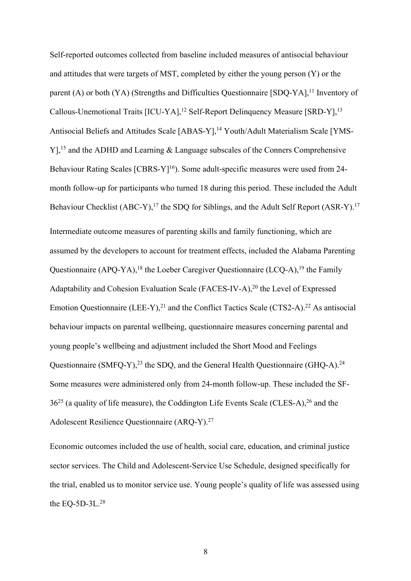Self-reported outcomes collected from baseline included measures of antisocial behaviour and attitudes that were targets of MST, completed by either the young person (Y) or the parent (A) or both (YA) (Strengths and Difficulties Questionnaire [SDQ-YA],<sup>11</sup> Inventory of Callous-Unemotional Traits [ICU-YA],<sup>12</sup> Self-Report Delinquency Measure [SRD-Y],<sup>13</sup> Antisocial Beliefs and Attitudes Scale [ABAS-Y],<sup>14</sup> Youth/Adult Materialism Scale [YMS-Y],<sup>15</sup> and the ADHD and Learning & Language subscales of the Conners Comprehensive Behaviour Rating Scales [CBRS-Y]<sup>16</sup>). Some adult-specific measures were used from 24month follow-up for participants who turned 18 during this period. These included the Adult Behaviour Checklist (ABC-Y),<sup>17</sup> the SDQ for Siblings, and the Adult Self Report (ASR-Y).<sup>17</sup> Intermediate outcome measures of parenting skills and family functioning, which are assumed by the developers to account for treatment effects, included the Alabama Parenting Questionnaire (APQ-YA),<sup>18</sup> the Loeber Caregiver Questionnaire (LCQ-A),<sup>19</sup> the Family Adaptability and Cohesion Evaluation Scale (FACES-IV-A), <sup>20</sup> the Level of Expressed Emotion Questionnaire (LEE-Y), $^{21}$  and the Conflict Tactics Scale (CTS2-A).<sup>22</sup> As antisocial behaviour impacts on parental wellbeing, questionnaire measures concerning parental and young people's wellbeing and adjustment included the Short Mood and Feelings Questionnaire (SMFQ-Y),<sup>23</sup> the SDQ, and the General Health Questionnaire (GHQ-A).<sup>24</sup> Some measures were administered only from 24-month follow-up. These included the SF- $36^{25}$  (a quality of life measure), the Coddington Life Events Scale (CLES-A),  $26$  and the Adolescent Resilience Questionnaire (ARQ-Y). 27

Economic outcomes included the use of health, social care, education, and criminal justice sector services. The Child and Adolescent-Service Use Schedule, designed specifically for the trial, enabled us to monitor service use. Young people's quality of life was assessed using the EQ-5D-3L. $^{28}$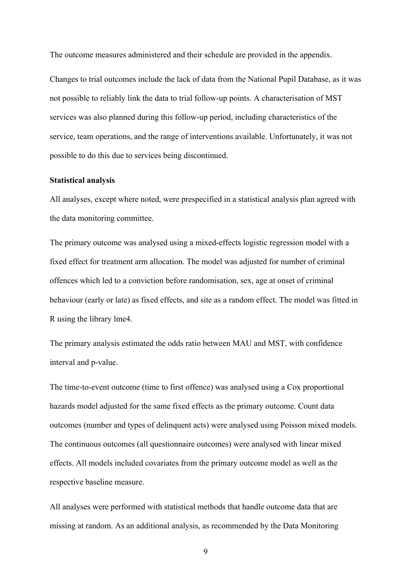The outcome measures administered and their schedule are provided in the appendix.

Changes to trial outcomes include the lack of data from the National Pupil Database, as it was not possible to reliably link the data to trial follow-up points. A characterisation of MST services was also planned during this follow-up period, including characteristics of the service, team operations, and the range of interventions available. Unfortunately, it was not possible to do this due to services being discontinued.

#### **Statistical analysis**

All analyses, except where noted, were prespecified in a statistical analysis plan agreed with the data monitoring committee.

The primary outcome was analysed using a mixed-effects logistic regression model with a fixed effect for treatment arm allocation. The model was adjusted for number of criminal offences which led to a conviction before randomisation, sex, age at onset of criminal behaviour (early or late) as fixed effects, and site as a random effect. The model was fitted in R using the library lme4.

The primary analysis estimated the odds ratio between MAU and MST, with confidence interval and p-value.

The time-to-event outcome (time to first offence) was analysed using a Cox proportional hazards model adjusted for the same fixed effects as the primary outcome. Count data outcomes (number and types of delinquent acts) were analysed using Poisson mixed models. The continuous outcomes (all questionnaire outcomes) were analysed with linear mixed effects. All models included covariates from the primary outcome model as well as the respective baseline measure.

All analyses were performed with statistical methods that handle outcome data that are missing at random. As an additional analysis, as recommended by the Data Monitoring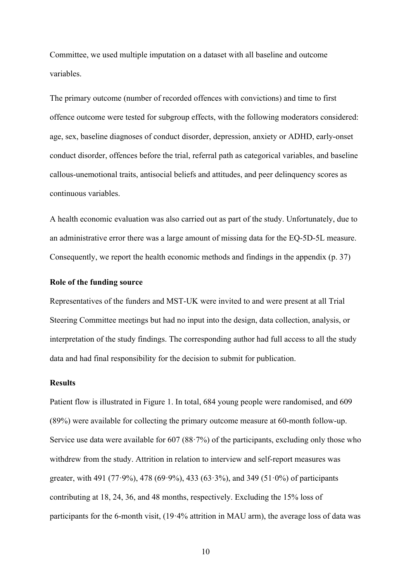Committee, we used multiple imputation on a dataset with all baseline and outcome variables.

The primary outcome (number of recorded offences with convictions) and time to first offence outcome were tested for subgroup effects, with the following moderators considered: age, sex, baseline diagnoses of conduct disorder, depression, anxiety or ADHD, early-onset conduct disorder, offences before the trial, referral path as categorical variables, and baseline callous-unemotional traits, antisocial beliefs and attitudes, and peer delinquency scores as continuous variables.

A health economic evaluation was also carried out as part of the study. Unfortunately, due to an administrative error there was a large amount of missing data for the EQ-5D-5L measure. Consequently, we report the health economic methods and findings in the appendix (p. 37)

## **Role of the funding source**

Representatives of the funders and MST-UK were invited to and were present at all Trial Steering Committee meetings but had no input into the design, data collection, analysis, or interpretation of the study findings. The corresponding author had full access to all the study data and had final responsibility for the decision to submit for publication.

# **Results**

Patient flow is illustrated in Figure 1. In total, 684 young people were randomised, and 609 (89%) were available for collecting the primary outcome measure at 60-month follow-up. Service use data were available for 607 (88·7%) of the participants, excluding only those who withdrew from the study. Attrition in relation to interview and self-report measures was greater, with 491 (77.9%), 478 (69.9%), 433 (63.3%), and 349 (51.0%) of participants contributing at 18, 24, 36, and 48 months, respectively. Excluding the 15% loss of participants for the 6-month visit, (19·4% attrition in MAU arm), the average loss of data was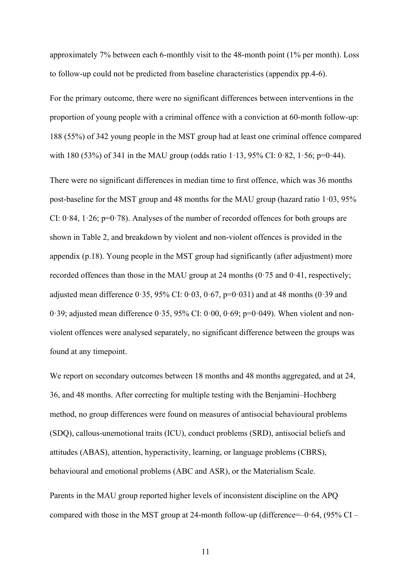approximately 7% between each 6-monthly visit to the 48-month point (1% per month). Loss to follow-up could not be predicted from baseline characteristics (appendix pp.4-6).

For the primary outcome, there were no significant differences between interventions in the proportion of young people with a criminal offence with a conviction at 60-month follow-up: 188 (55%) of 342 young people in the MST group had at least one criminal offence compared with 180 (53%) of 341 in the MAU group (odds ratio  $1.13$ , 95% CI: 0.82,  $1.56$ ; p=0.44).

There were no significant differences in median time to first offence, which was 36 months post-baseline for the MST group and 48 months for the MAU group (hazard ratio  $1.03$ ,  $95\%$ ) CI:  $0.84$ ,  $1.26$ ;  $p=0.78$ ). Analyses of the number of recorded offences for both groups are shown in Table 2, and breakdown by violent and non-violent offences is provided in the appendix (p.18). Young people in the MST group had significantly (after adjustment) more recorded offences than those in the MAU group at 24 months  $(0.75 \text{ and } 0.41)$ , respectively; adjusted mean difference  $0.35$ ,  $95\%$  CI:  $0.03$ ,  $0.67$ ,  $p=0.031$ ) and at 48 months ( $0.39$  and 0.39; adjusted mean difference  $0.35$ , 95% CI:  $0.00$ ,  $0.69$ ; p=0.049). When violent and nonviolent offences were analysed separately, no significant difference between the groups was found at any timepoint.

We report on secondary outcomes between 18 months and 48 months aggregated, and at 24, 36, and 48 months. After correcting for multiple testing with the Benjamini–Hochberg method, no group differences were found on measures of antisocial behavioural problems (SDQ), callous-unemotional traits (ICU), conduct problems (SRD), antisocial beliefs and attitudes (ABAS), attention, hyperactivity, learning, or language problems (CBRS), behavioural and emotional problems (ABC and ASR), or the Materialism Scale.

Parents in the MAU group reported higher levels of inconsistent discipline on the APQ compared with those in the MST group at 24-month follow-up (difference= $-0.64$ , (95% CI –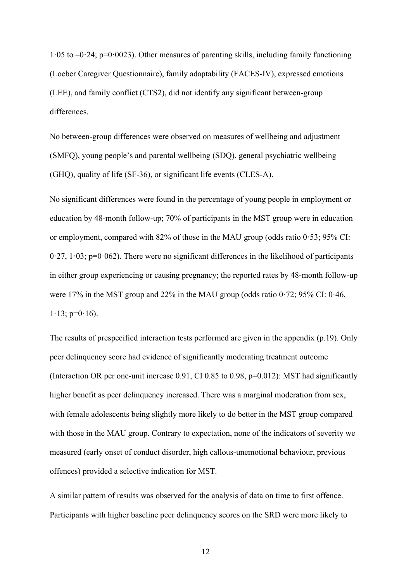$1.05$  to  $-0.24$ ; p=0.0023). Other measures of parenting skills, including family functioning (Loeber Caregiver Questionnaire), family adaptability (FACES-IV), expressed emotions (LEE), and family conflict (CTS2), did not identify any significant between-group differences.

No between-group differences were observed on measures of wellbeing and adjustment (SMFQ), young people's and parental wellbeing (SDQ), general psychiatric wellbeing (GHQ), quality of life (SF-36), or significant life events (CLES-A).

No significant differences were found in the percentage of young people in employment or education by 48-month follow-up; 70% of participants in the MST group were in education or employment, compared with 82% of those in the MAU group (odds ratio 0·53; 95% CI:  $0.27$ ,  $1.03$ ;  $p=0.062$ ). There were no significant differences in the likelihood of participants in either group experiencing or causing pregnancy; the reported rates by 48-month follow-up were 17% in the MST group and 22% in the MAU group (odds ratio  $0.72$ ; 95% CI:  $0.46$ ,  $1.13$ ; p= $0.16$ ).

The results of prespecified interaction tests performed are given in the appendix (p.19). Only peer delinquency score had evidence of significantly moderating treatment outcome (Interaction OR per one-unit increase 0.91, CI 0.85 to 0.98, p=0.012): MST had significantly higher benefit as peer delinquency increased. There was a marginal moderation from sex, with female adolescents being slightly more likely to do better in the MST group compared with those in the MAU group. Contrary to expectation, none of the indicators of severity we measured (early onset of conduct disorder, high callous-unemotional behaviour, previous offences) provided a selective indication for MST.

A similar pattern of results was observed for the analysis of data on time to first offence. Participants with higher baseline peer delinquency scores on the SRD were more likely to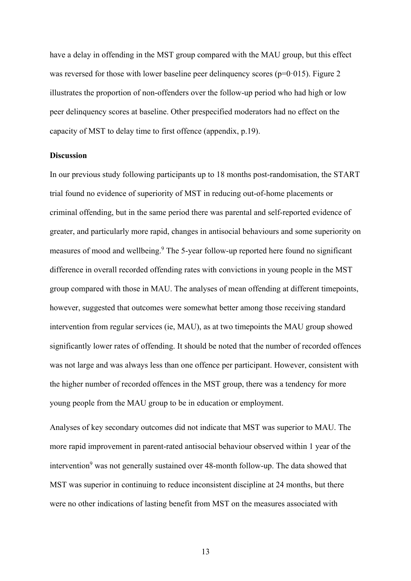have a delay in offending in the MST group compared with the MAU group, but this effect was reversed for those with lower baseline peer delinquency scores ( $p=0.015$ ). Figure 2 illustrates the proportion of non-offenders over the follow-up period who had high or low peer delinquency scores at baseline. Other prespecified moderators had no effect on the capacity of MST to delay time to first offence (appendix, p.19).

# **Discussion**

In our previous study following participants up to 18 months post-randomisation, the START trial found no evidence of superiority of MST in reducing out-of-home placements or criminal offending, but in the same period there was parental and self-reported evidence of greater, and particularly more rapid, changes in antisocial behaviours and some superiority on measures of mood and wellbeing.9 The 5-year follow-up reported here found no significant difference in overall recorded offending rates with convictions in young people in the MST group compared with those in MAU. The analyses of mean offending at different timepoints, however, suggested that outcomes were somewhat better among those receiving standard intervention from regular services (ie, MAU), as at two timepoints the MAU group showed significantly lower rates of offending. It should be noted that the number of recorded offences was not large and was always less than one offence per participant. However, consistent with the higher number of recorded offences in the MST group, there was a tendency for more young people from the MAU group to be in education or employment.

Analyses of key secondary outcomes did not indicate that MST was superior to MAU. The more rapid improvement in parent-rated antisocial behaviour observed within 1 year of the intervention<sup>9</sup> was not generally sustained over 48-month follow-up. The data showed that MST was superior in continuing to reduce inconsistent discipline at 24 months, but there were no other indications of lasting benefit from MST on the measures associated with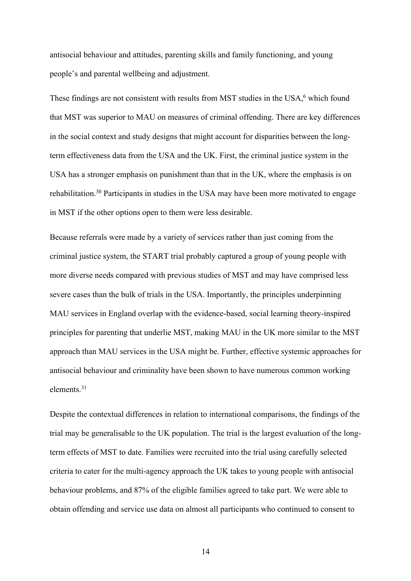antisocial behaviour and attitudes, parenting skills and family functioning, and young people's and parental wellbeing and adjustment.

These findings are not consistent with results from MST studies in the USA,<sup>6</sup> which found that MST was superior to MAU on measures of criminal offending. There are key differences in the social context and study designs that might account for disparities between the longterm effectiveness data from the USA and the UK. First, the criminal justice system in the USA has a stronger emphasis on punishment than that in the UK, where the emphasis is on rehabilitation.<sup>30</sup> Participants in studies in the USA may have been more motivated to engage in MST if the other options open to them were less desirable.

Because referrals were made by a variety of services rather than just coming from the criminal justice system, the START trial probably captured a group of young people with more diverse needs compared with previous studies of MST and may have comprised less severe cases than the bulk of trials in the USA. Importantly, the principles underpinning MAU services in England overlap with the evidence-based, social learning theory-inspired principles for parenting that underlie MST, making MAU in the UK more similar to the MST approach than MAU services in the USA might be. Further, effective systemic approaches for antisocial behaviour and criminality have been shown to have numerous common working elements.31

Despite the contextual differences in relation to international comparisons, the findings of the trial may be generalisable to the UK population. The trial is the largest evaluation of the longterm effects of MST to date. Families were recruited into the trial using carefully selected criteria to cater for the multi-agency approach the UK takes to young people with antisocial behaviour problems, and 87% of the eligible families agreed to take part. We were able to obtain offending and service use data on almost all participants who continued to consent to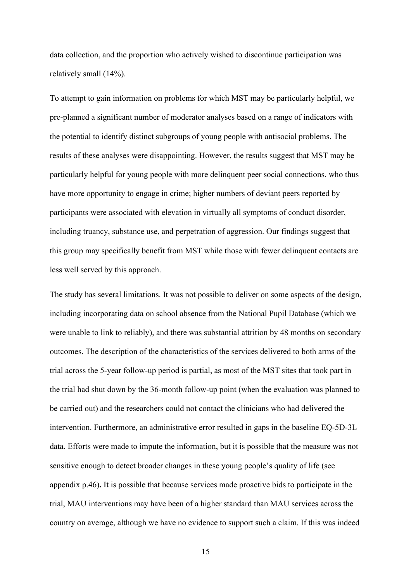data collection, and the proportion who actively wished to discontinue participation was relatively small (14%).

To attempt to gain information on problems for which MST may be particularly helpful, we pre-planned a significant number of moderator analyses based on a range of indicators with the potential to identify distinct subgroups of young people with antisocial problems. The results of these analyses were disappointing. However, the results suggest that MST may be particularly helpful for young people with more delinquent peer social connections, who thus have more opportunity to engage in crime; higher numbers of deviant peers reported by participants were associated with elevation in virtually all symptoms of conduct disorder, including truancy, substance use, and perpetration of aggression. Our findings suggest that this group may specifically benefit from MST while those with fewer delinquent contacts are less well served by this approach.

The study has several limitations. It was not possible to deliver on some aspects of the design, including incorporating data on school absence from the National Pupil Database (which we were unable to link to reliably), and there was substantial attrition by 48 months on secondary outcomes. The description of the characteristics of the services delivered to both arms of the trial across the 5-year follow-up period is partial, as most of the MST sites that took part in the trial had shut down by the 36-month follow-up point (when the evaluation was planned to be carried out) and the researchers could not contact the clinicians who had delivered the intervention. Furthermore, an administrative error resulted in gaps in the baseline EQ-5D-3L data. Efforts were made to impute the information, but it is possible that the measure was not sensitive enough to detect broader changes in these young people's quality of life (see appendix p.46)**.** It is possible that because services made proactive bids to participate in the trial, MAU interventions may have been of a higher standard than MAU services across the country on average, although we have no evidence to support such a claim. If this was indeed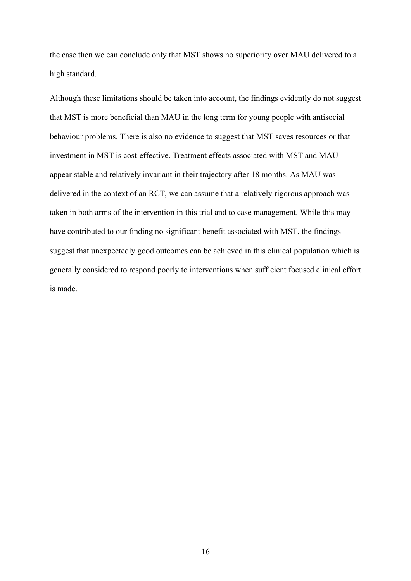the case then we can conclude only that MST shows no superiority over MAU delivered to a high standard.

Although these limitations should be taken into account, the findings evidently do not suggest that MST is more beneficial than MAU in the long term for young people with antisocial behaviour problems. There is also no evidence to suggest that MST saves resources or that investment in MST is cost-effective. Treatment effects associated with MST and MAU appear stable and relatively invariant in their trajectory after 18 months. As MAU was delivered in the context of an RCT, we can assume that a relatively rigorous approach was taken in both arms of the intervention in this trial and to case management. While this may have contributed to our finding no significant benefit associated with MST, the findings suggest that unexpectedly good outcomes can be achieved in this clinical population which is generally considered to respond poorly to interventions when sufficient focused clinical effort is made.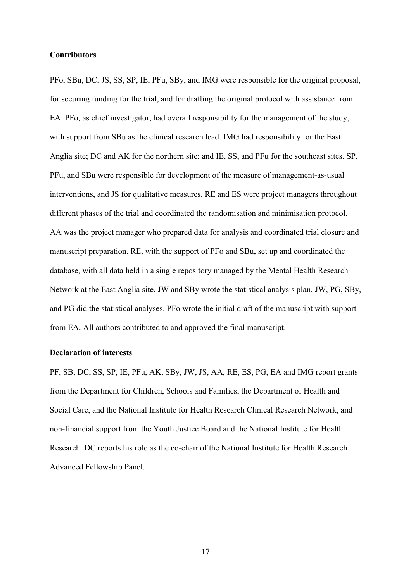### **Contributors**

PFo, SBu, DC, JS, SS, SP, IE, PFu, SBy, and IMG were responsible for the original proposal, for securing funding for the trial, and for drafting the original protocol with assistance from EA. PFo, as chief investigator, had overall responsibility for the management of the study, with support from SBu as the clinical research lead. IMG had responsibility for the East Anglia site; DC and AK for the northern site; and IE, SS, and PFu for the southeast sites. SP, PFu, and SBu were responsible for development of the measure of management-as-usual interventions, and JS for qualitative measures. RE and ES were project managers throughout different phases of the trial and coordinated the randomisation and minimisation protocol. AA was the project manager who prepared data for analysis and coordinated trial closure and manuscript preparation. RE, with the support of PFo and SBu, set up and coordinated the database, with all data held in a single repository managed by the Mental Health Research Network at the East Anglia site. JW and SBy wrote the statistical analysis plan. JW, PG, SBy, and PG did the statistical analyses. PFo wrote the initial draft of the manuscript with support from EA. All authors contributed to and approved the final manuscript.

# **Declaration of interests**

PF, SB, DC, SS, SP, IE, PFu, AK, SBy, JW, JS, AA, RE, ES, PG, EA and IMG report grants from the Department for Children, Schools and Families, the Department of Health and Social Care, and the National Institute for Health Research Clinical Research Network, and non-financial support from the Youth Justice Board and the National Institute for Health Research. DC reports his role as the co-chair of the National Institute for Health Research Advanced Fellowship Panel.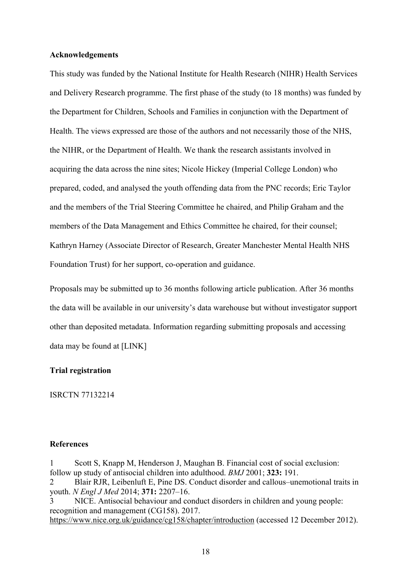## **Acknowledgements**

This study was funded by the National Institute for Health Research (NIHR) Health Services and Delivery Research programme. The first phase of the study (to 18 months) was funded by the Department for Children, Schools and Families in conjunction with the Department of Health. The views expressed are those of the authors and not necessarily those of the NHS, the NIHR, or the Department of Health. We thank the research assistants involved in acquiring the data across the nine sites; Nicole Hickey (Imperial College London) who prepared, coded, and analysed the youth offending data from the PNC records; Eric Taylor and the members of the Trial Steering Committee he chaired, and Philip Graham and the members of the Data Management and Ethics Committee he chaired, for their counsel; Kathryn Harney (Associate Director of Research, Greater Manchester Mental Health NHS Foundation Trust) for her support, co-operation and guidance.

Proposals may be submitted up to 36 months following article publication. After 36 months the data will be available in our university's data warehouse but without investigator support other than deposited metadata. Information regarding submitting proposals and accessing data may be found at [LINK]

#### **Trial registration**

ISRCTN 77132214

## **References**

1 Scott S, Knapp M, Henderson J, Maughan B. Financial cost of social exclusion: follow up study of antisocial children into adulthood. *BMJ* 2001; **323:** 191.

2 Blair RJR, Leibenluft E, Pine DS. Conduct disorder and callous–unemotional traits in youth. *N Engl J Med* 2014; **371:** 2207–16.

3 NICE. Antisocial behaviour and conduct disorders in children and young people: recognition and management (CG158). 2017. https://www.nice.org.uk/guidance/cg158/chapter/introduction (accessed 12 December 2012).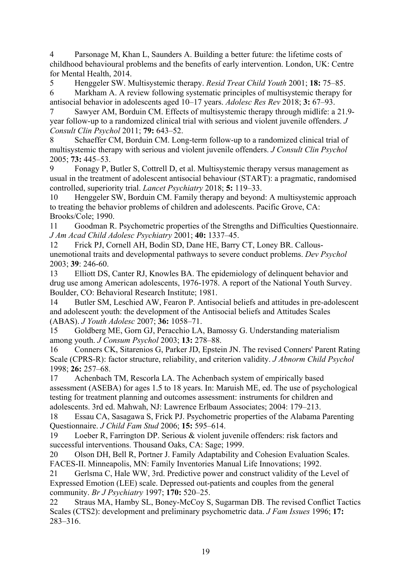4 Parsonage M, Khan L, Saunders A. Building a better future: the lifetime costs of childhood behavioural problems and the benefits of early intervention. London, UK: Centre for Mental Health, 2014.

5 Henggeler SW. Multisystemic therapy. *Resid Treat Child Youth* 2001; **18:** 75–85.

6 Markham A. A review following systematic principles of multisystemic therapy for antisocial behavior in adolescents aged 10–17 years. *Adolesc Res Rev* 2018; **3:** 67–93.

7 Sawyer AM, Borduin CM. Effects of multisystemic therapy through midlife: a 21.9 year follow-up to a randomized clinical trial with serious and violent juvenile offenders. *J Consult Clin Psychol* 2011; **79:** 643–52.

8 Schaeffer CM, Borduin CM. Long-term follow-up to a randomized clinical trial of multisystemic therapy with serious and violent juvenile offenders. *J Consult Clin Psychol* 2005; **73:** 445–53.

Fonagy P, Butler S, Cottrell D, et al. Multisystemic therapy versus management as usual in the treatment of adolescent antisocial behaviour (START): a pragmatic, randomised controlled, superiority trial. *Lancet Psychiatry* 2018; **5:** 119–33.

10 Henggeler SW, Borduin CM. Family therapy and beyond: A multisystemic approach to treating the behavior problems of children and adolescents. Pacific Grove, CA: Brooks/Cole; 1990.

11 Goodman R. Psychometric properties of the Strengths and Difficulties Questionnaire. *J Am Acad Child Adolesc Psychiatry* 2001; **40:** 1337–45.

12 Frick PJ, Cornell AH, Bodin SD, Dane HE, Barry CT, Loney BR. Callousunemotional traits and developmental pathways to severe conduct problems. *Dev Psychol* 2003; **39**: 246-60.

13 Elliott DS, Canter RJ, Knowles BA. The epidemiology of delinquent behavior and drug use among American adolescents, 1976-1978. A report of the National Youth Survey. Boulder, CO: Behavioral Research Institute; 1981.

14 Butler SM, Leschied AW, Fearon P. Antisocial beliefs and attitudes in pre-adolescent and adolescent youth: the development of the Antisocial beliefs and Attitudes Scales (ABAS). *J Youth Adolesc* 2007; **36:** 1058–71.

15 Goldberg ME, Gorn GJ, Peracchio LA, Bamossy G. Understanding materialism among youth. *J Consum Psychol* 2003; **13:** 278–88.

16 Conners CK, Sitarenios G, Parker JD, Epstein JN. The revised Conners' Parent Rating Scale (CPRS-R): factor structure, reliability, and criterion validity. *J Abnorm Child Psychol* 1998; **26:** 257–68.

17 Achenbach TM, Rescorla LA. The Achenbach system of empirically based assessment (ASEBA) for ages 1.5 to 18 years. In: Maruish ME, ed. The use of psychological testing for treatment planning and outcomes assessment: instruments for children and adolescents. 3rd ed. Mahwah, NJ: Lawrence Erlbaum Associates; 2004: 179–213.

18 Essau CA, Sasagawa S, Frick PJ. Psychometric properties of the Alabama Parenting Questionnaire. *J Child Fam Stud* 2006; **15:** 595–614.

19 Loeber R, Farrington DP. Serious & violent juvenile offenders: risk factors and successful interventions. Thousand Oaks, CA: Sage; 1999.

20 Olson DH, Bell R, Portner J. Family Adaptability and Cohesion Evaluation Scales. FACES-II. Minneapolis, MN: Family Inventories Manual Life Innovations; 1992.

21 Gerlsma C, Hale WW, 3rd. Predictive power and construct validity of the Level of Expressed Emotion (LEE) scale. Depressed out-patients and couples from the general community. *Br J Psychiatry* 1997; **170:** 520–25.

22 Straus MA, Hamby SL, Boney-McCoy S, Sugarman DB. The revised Conflict Tactics Scales (CTS2): development and preliminary psychometric data. *J Fam Issues* 1996; **17:** 283–316.